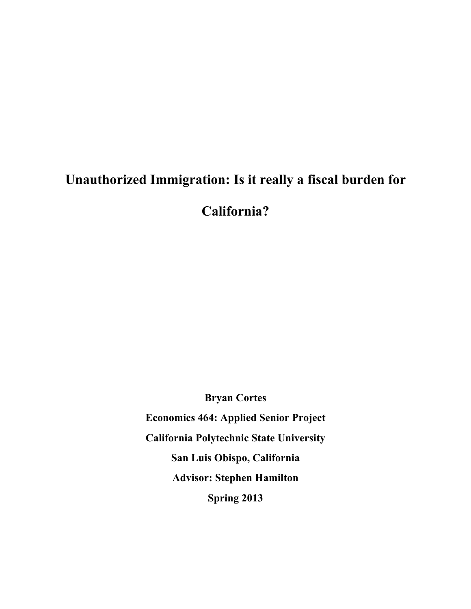# **Unauthorized Immigration: Is it really a fiscal burden for**

**California?**

**Bryan Cortes Economics 464: Applied Senior Project California Polytechnic State University San Luis Obispo, California Advisor: Stephen Hamilton Spring 2013**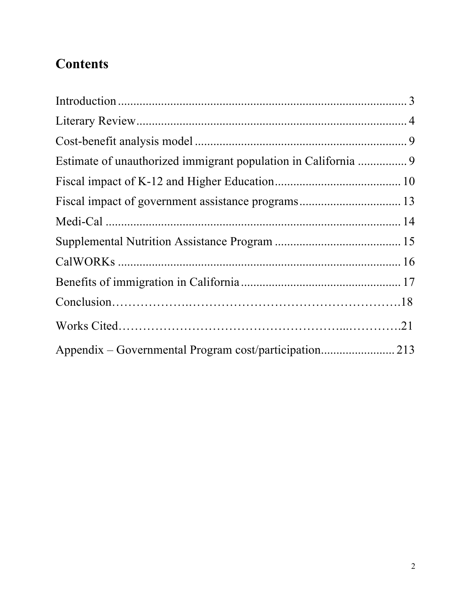# **Contents**

| Fiscal impact of government assistance programs 13 |  |
|----------------------------------------------------|--|
|                                                    |  |
|                                                    |  |
|                                                    |  |
|                                                    |  |
|                                                    |  |
|                                                    |  |
|                                                    |  |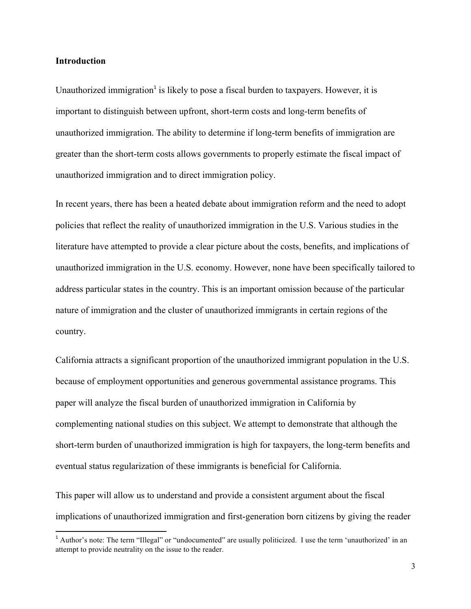#### **Introduction**

Unauthorized immigration<sup>1</sup> is likely to pose a fiscal burden to taxpayers. However, it is important to distinguish between upfront, short-term costs and long-term benefits of unauthorized immigration. The ability to determine if long-term benefits of immigration are greater than the short-term costs allows governments to properly estimate the fiscal impact of unauthorized immigration and to direct immigration policy.

In recent years, there has been a heated debate about immigration reform and the need to adopt policies that reflect the reality of unauthorized immigration in the U.S. Various studies in the literature have attempted to provide a clear picture about the costs, benefits, and implications of unauthorized immigration in the U.S. economy. However, none have been specifically tailored to address particular states in the country. This is an important omission because of the particular nature of immigration and the cluster of unauthorized immigrants in certain regions of the country.

California attracts a significant proportion of the unauthorized immigrant population in the U.S. because of employment opportunities and generous governmental assistance programs. This paper will analyze the fiscal burden of unauthorized immigration in California by complementing national studies on this subject. We attempt to demonstrate that although the short-term burden of unauthorized immigration is high for taxpayers, the long-term benefits and eventual status regularization of these immigrants is beneficial for California.

This paper will allow us to understand and provide a consistent argument about the fiscal implications of unauthorized immigration and first-generation born citizens by giving the reader

 $<sup>1</sup>$  Author's note: The term "Illegal" or "undocumented" are usually politicized. I use the term 'unauthorized' in an</sup> attempt to provide neutrality on the issue to the reader.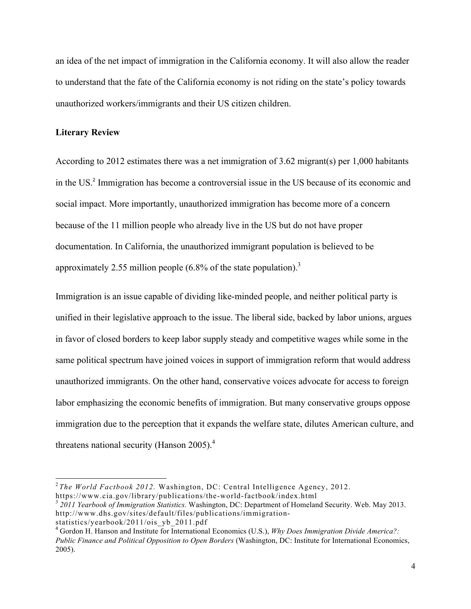an idea of the net impact of immigration in the California economy. It will also allow the reader to understand that the fate of the California economy is not riding on the state's policy towards unauthorized workers/immigrants and their US citizen children.

#### **Literary Review**

According to 2012 estimates there was a net immigration of 3.62 migrant(s) per 1,000 habitants in the US.<sup>2</sup> Immigration has become a controversial issue in the US because of its economic and social impact. More importantly, unauthorized immigration has become more of a concern because of the 11 million people who already live in the US but do not have proper documentation. In California, the unauthorized immigrant population is believed to be approximately 2.55 million people  $(6.8\%$  of the state population).<sup>3</sup>

Immigration is an issue capable of dividing like-minded people, and neither political party is unified in their legislative approach to the issue. The liberal side, backed by labor unions, argues in favor of closed borders to keep labor supply steady and competitive wages while some in the same political spectrum have joined voices in support of immigration reform that would address unauthorized immigrants. On the other hand, conservative voices advocate for access to foreign labor emphasizing the economic benefits of immigration. But many conservative groups oppose immigration due to the perception that it expands the welfare state, dilutes American culture, and threatens national security (Hanson 2005).<sup>4</sup>

<sup>&</sup>lt;sup>2</sup> *The World Factbook 2012.* Washington, DC: Central Intelligence Agency, 2012.<br>https://www.cia.gov/library/publications/the-world-factbook/index.html

<sup>&</sup>lt;sup>3</sup> 2011 Yearbook of Immigration Statistics. Washington, DC: Department of Homeland Security. Web. May 2013. http://www.dhs.gov/sites/default/files/publications/immigrationstatistics/yearbook/2011/ois\_yb\_2011.pdf

<sup>4</sup> Gordon H. Hanson and Institute for International Economics (U.S.), *Why Does Immigration Divide America?: Public Finance and Political Opposition to Open Borders* (Washington, DC: Institute for International Economics, 2005).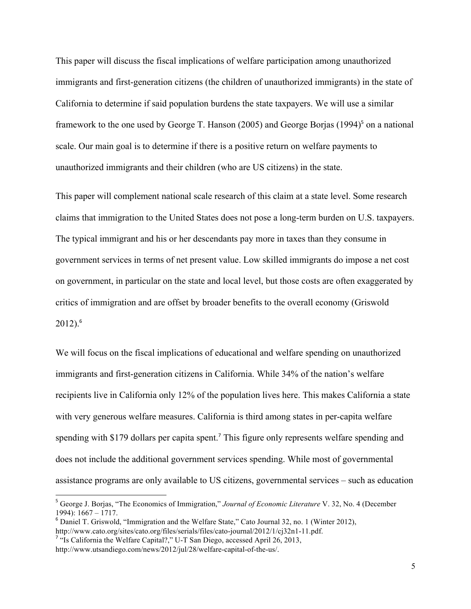This paper will discuss the fiscal implications of welfare participation among unauthorized immigrants and first-generation citizens (the children of unauthorized immigrants) in the state of California to determine if said population burdens the state taxpayers. We will use a similar framework to the one used by George T. Hanson (2005) and George Borjas (1994)<sup>5</sup> on a national scale. Our main goal is to determine if there is a positive return on welfare payments to unauthorized immigrants and their children (who are US citizens) in the state.

This paper will complement national scale research of this claim at a state level. Some research claims that immigration to the United States does not pose a long-term burden on U.S. taxpayers. The typical immigrant and his or her descendants pay more in taxes than they consume in government services in terms of net present value. Low skilled immigrants do impose a net cost on government, in particular on the state and local level, but those costs are often exaggerated by critics of immigration and are offset by broader benefits to the overall economy (Griswold  $2012$ ).<sup>6</sup>

We will focus on the fiscal implications of educational and welfare spending on unauthorized immigrants and first-generation citizens in California. While 34% of the nation's welfare recipients live in California only 12% of the population lives here. This makes California a state with very generous welfare measures. California is third among states in per-capita welfare spending with \$179 dollars per capita spent.<sup>7</sup> This figure only represents welfare spending and does not include the additional government services spending. While most of governmental assistance programs are only available to US citizens, governmental services – such as education

<sup>5</sup> George J. Borjas, "The Economics of Immigration," *Journal of Economic Literature* V. 32, No. 4 (December 1994):  $1667 - 1717$ .<br><sup>6</sup> Daniel T. Griswold, "Immigration and the Welfare State," Cato Journal 32, no. 1 (Winter 2012),

http://www.cato.org/sites/cato.org/files/serials/files/cato-journal/2012/1/cj32n1-11.pdf. 7 "Is California the Welfare Capital?," U-T San Diego, accessed April 26, 2013,

http://www.utsandiego.com/news/2012/jul/28/welfare-capital-of-the-us/.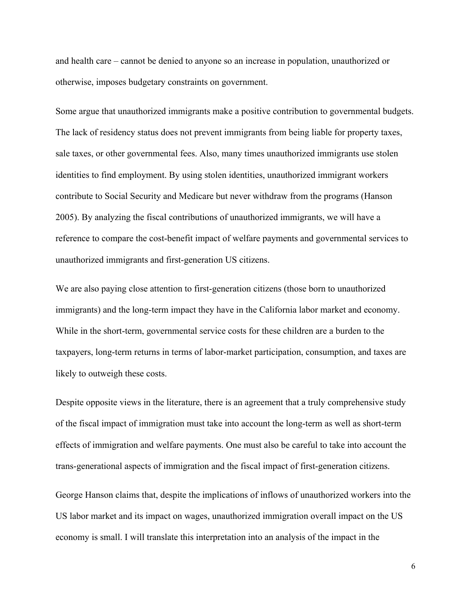and health care – cannot be denied to anyone so an increase in population, unauthorized or otherwise, imposes budgetary constraints on government.

Some argue that unauthorized immigrants make a positive contribution to governmental budgets. The lack of residency status does not prevent immigrants from being liable for property taxes, sale taxes, or other governmental fees. Also, many times unauthorized immigrants use stolen identities to find employment. By using stolen identities, unauthorized immigrant workers contribute to Social Security and Medicare but never withdraw from the programs (Hanson 2005). By analyzing the fiscal contributions of unauthorized immigrants, we will have a reference to compare the cost-benefit impact of welfare payments and governmental services to unauthorized immigrants and first-generation US citizens.

We are also paying close attention to first-generation citizens (those born to unauthorized immigrants) and the long-term impact they have in the California labor market and economy. While in the short-term, governmental service costs for these children are a burden to the taxpayers, long-term returns in terms of labor-market participation, consumption, and taxes are likely to outweigh these costs.

Despite opposite views in the literature, there is an agreement that a truly comprehensive study of the fiscal impact of immigration must take into account the long-term as well as short-term effects of immigration and welfare payments. One must also be careful to take into account the trans-generational aspects of immigration and the fiscal impact of first-generation citizens.

George Hanson claims that, despite the implications of inflows of unauthorized workers into the US labor market and its impact on wages, unauthorized immigration overall impact on the US economy is small. I will translate this interpretation into an analysis of the impact in the

6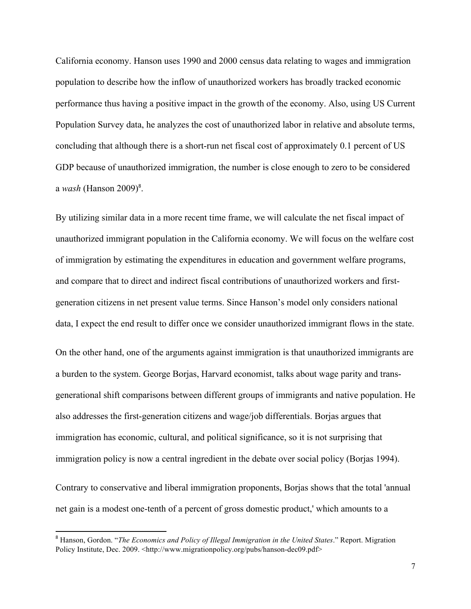California economy. Hanson uses 1990 and 2000 census data relating to wages and immigration population to describe how the inflow of unauthorized workers has broadly tracked economic performance thus having a positive impact in the growth of the economy. Also, using US Current Population Survey data, he analyzes the cost of unauthorized labor in relative and absolute terms, concluding that although there is a short-run net fiscal cost of approximately 0.1 percent of US GDP because of unauthorized immigration, the number is close enough to zero to be considered a *wash* (Hanson 2009) 8 .

By utilizing similar data in a more recent time frame, we will calculate the net fiscal impact of unauthorized immigrant population in the California economy. We will focus on the welfare cost of immigration by estimating the expenditures in education and government welfare programs, and compare that to direct and indirect fiscal contributions of unauthorized workers and firstgeneration citizens in net present value terms. Since Hanson's model only considers national data, I expect the end result to differ once we consider unauthorized immigrant flows in the state.

On the other hand, one of the arguments against immigration is that unauthorized immigrants are a burden to the system. George Borjas, Harvard economist, talks about wage parity and transgenerational shift comparisons between different groups of immigrants and native population. He also addresses the first-generation citizens and wage/job differentials. Borjas argues that immigration has economic, cultural, and political significance, so it is not surprising that immigration policy is now a central ingredient in the debate over social policy (Borjas 1994).

Contrary to conservative and liberal immigration proponents, Borjas shows that the total 'annual net gain is a modest one-tenth of a percent of gross domestic product,' which amounts to a

<sup>8</sup> Hanson, Gordon. "*The Economics and Policy of Illegal Immigration in the United States*." Report. Migration Policy Institute, Dec. 2009. <http://www.migrationpolicy.org/pubs/hanson-dec09.pdf>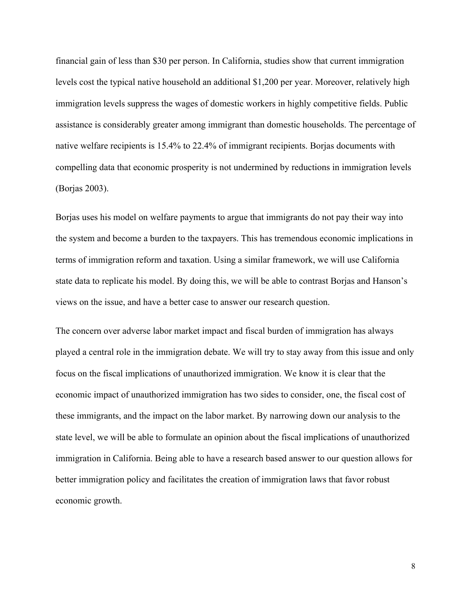financial gain of less than \$30 per person. In California, studies show that current immigration levels cost the typical native household an additional \$1,200 per year. Moreover, relatively high immigration levels suppress the wages of domestic workers in highly competitive fields. Public assistance is considerably greater among immigrant than domestic households. The percentage of native welfare recipients is 15.4% to 22.4% of immigrant recipients. Borjas documents with compelling data that economic prosperity is not undermined by reductions in immigration levels (Borjas 2003).

Borjas uses his model on welfare payments to argue that immigrants do not pay their way into the system and become a burden to the taxpayers. This has tremendous economic implications in terms of immigration reform and taxation. Using a similar framework, we will use California state data to replicate his model. By doing this, we will be able to contrast Borjas and Hanson's views on the issue, and have a better case to answer our research question.

The concern over adverse labor market impact and fiscal burden of immigration has always played a central role in the immigration debate. We will try to stay away from this issue and only focus on the fiscal implications of unauthorized immigration. We know it is clear that the economic impact of unauthorized immigration has two sides to consider, one, the fiscal cost of these immigrants, and the impact on the labor market. By narrowing down our analysis to the state level, we will be able to formulate an opinion about the fiscal implications of unauthorized immigration in California. Being able to have a research based answer to our question allows for better immigration policy and facilitates the creation of immigration laws that favor robust economic growth.

8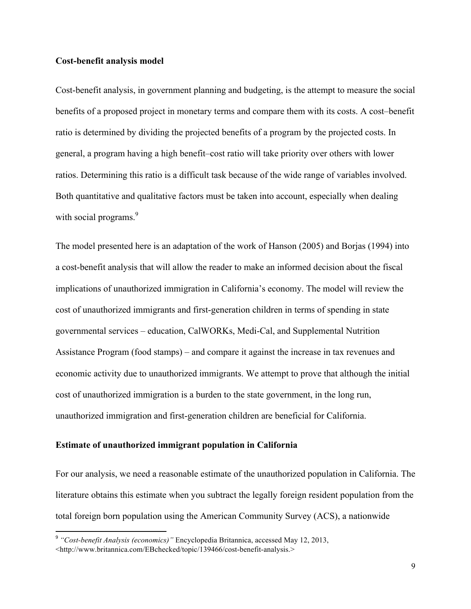#### **Cost-benefit analysis model**

Cost-benefit analysis, in government planning and budgeting, is the attempt to measure the social benefits of a proposed project in monetary terms and compare them with its costs. A cost–benefit ratio is determined by dividing the projected benefits of a program by the projected costs. In general, a program having a high benefit–cost ratio will take priority over others with lower ratios. Determining this ratio is a difficult task because of the wide range of variables involved. Both quantitative and qualitative factors must be taken into account, especially when dealing with social programs.<sup>9</sup>

The model presented here is an adaptation of the work of Hanson (2005) and Borjas (1994) into a cost-benefit analysis that will allow the reader to make an informed decision about the fiscal implications of unauthorized immigration in California's economy. The model will review the cost of unauthorized immigrants and first-generation children in terms of spending in state governmental services – education, CalWORKs, Medi-Cal, and Supplemental Nutrition Assistance Program (food stamps) – and compare it against the increase in tax revenues and economic activity due to unauthorized immigrants. We attempt to prove that although the initial cost of unauthorized immigration is a burden to the state government, in the long run, unauthorized immigration and first-generation children are beneficial for California.

#### **Estimate of unauthorized immigrant population in California**

<u> 1989 - Jan Samuel Barbara, margaret e</u>

For our analysis, we need a reasonable estimate of the unauthorized population in California. The literature obtains this estimate when you subtract the legally foreign resident population from the total foreign born population using the American Community Survey (ACS), a nationwide

<sup>9</sup> *"Cost-benefit Analysis (economics)"* Encyclopedia Britannica, accessed May 12, 2013, <http://www.britannica.com/EBchecked/topic/139466/cost-benefit-analysis.>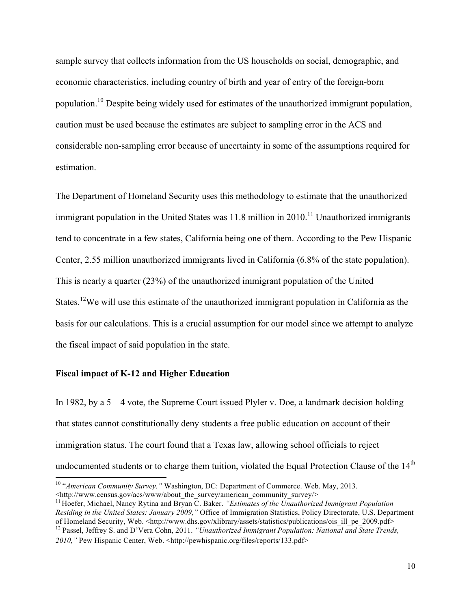sample survey that collects information from the US households on social, demographic, and economic characteristics, including country of birth and year of entry of the foreign-born population.10 Despite being widely used for estimates of the unauthorized immigrant population, caution must be used because the estimates are subject to sampling error in the ACS and considerable non-sampling error because of uncertainty in some of the assumptions required for estimation.

The Department of Homeland Security uses this methodology to estimate that the unauthorized immigrant population in the United States was  $11.8$  million in  $2010$ <sup> $11$ </sup> Unauthorized immigrants tend to concentrate in a few states, California being one of them. According to the Pew Hispanic Center, 2.55 million unauthorized immigrants lived in California (6.8% of the state population). This is nearly a quarter (23%) of the unauthorized immigrant population of the United States.<sup>12</sup>We will use this estimate of the unauthorized immigrant population in California as the basis for our calculations. This is a crucial assumption for our model since we attempt to analyze the fiscal impact of said population in the state.

#### **Fiscal impact of K-12 and Higher Education**

<u> 1989 - Johann Stein, fransk politiker (d. 1989)</u>

In 1982, by a  $5 - 4$  vote, the Supreme Court issued Plyler v. Doe, a landmark decision holding that states cannot constitutionally deny students a free public education on account of their immigration status. The court found that a Texas law, allowing school officials to reject undocumented students or to charge them tuition, violated the Equal Protection Clause of the  $14<sup>th</sup>$ 

<sup>&</sup>lt;sup>10</sup> "*American Community Survey.*" Washington, DC: Department of Commerce. Web. May, 2013.<br>
<http://www.census.gov/acs/www/about the survey/american community survey/>

<sup>&</sup>lt;sup>11</sup> Hoefer, Michael, Nancy Rytina and Bryan C. Baker. *"Estimates of the Unauthorized Immigrant Population Residing in the United States: January 2009,"* Office of Immigration Statistics, Policy Directorate, U.S. Department of Homeland Security, Web. <http://www.dhs.gov/xlibrary/assets/statistics/publications/ois\_ill\_pe\_2009.pdf> <sup>12</sup> Passel, Jeffrey S. and D'Vera Cohn, 2011. *"Unauthorized Immigrant Population: National and State Trends,* 2010," Pew Hispanic Center, Web. <http://pewhispanic.org/files/reports/133.pdf>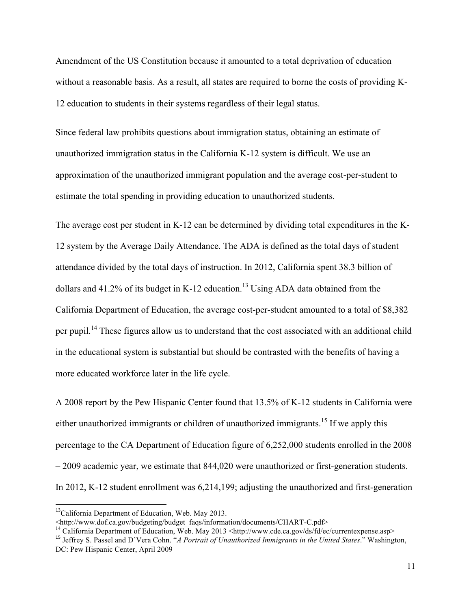Amendment of the US Constitution because it amounted to a total deprivation of education without a reasonable basis. As a result, all states are required to borne the costs of providing K-12 education to students in their systems regardless of their legal status.

Since federal law prohibits questions about immigration status, obtaining an estimate of unauthorized immigration status in the California K-12 system is difficult. We use an approximation of the unauthorized immigrant population and the average cost-per-student to estimate the total spending in providing education to unauthorized students.

The average cost per student in K-12 can be determined by dividing total expenditures in the K-12 system by the Average Daily Attendance. The ADA is defined as the total days of student attendance divided by the total days of instruction. In 2012, California spent 38.3 billion of dollars and  $41.2\%$  of its budget in K-12 education.<sup>13</sup> Using ADA data obtained from the California Department of Education, the average cost-per-student amounted to a total of \$8,382 per pupil.<sup>14</sup> These figures allow us to understand that the cost associated with an additional child in the educational system is substantial but should be contrasted with the benefits of having a more educated workforce later in the life cycle.

A 2008 report by the Pew Hispanic Center found that 13.5% of K-12 students in California were either unauthorized immigrants or children of unauthorized immigrants.<sup>15</sup> If we apply this percentage to the CA Department of Education figure of 6,252,000 students enrolled in the 2008 – 2009 academic year, we estimate that 844,020 were unauthorized or first-generation students. In 2012, K-12 student enrollment was 6,214,199; adjusting the unauthorized and first-generation

 

 $13$ California Department of Education, Web. May 2013.

<sup>&</sup>lt;http://www.dof.ca.gov/budgeting/budget\_faqs/information/documents/CHART-C.pdf><br><sup>14</sup> California Department of Education, Web. May 2013 <http://www.cde.ca.gov/ds/fd/ec/currentexpense.asp><br><sup>15</sup> Jeffrey S. Passel and D'Vera C

DC: Pew Hispanic Center, April 2009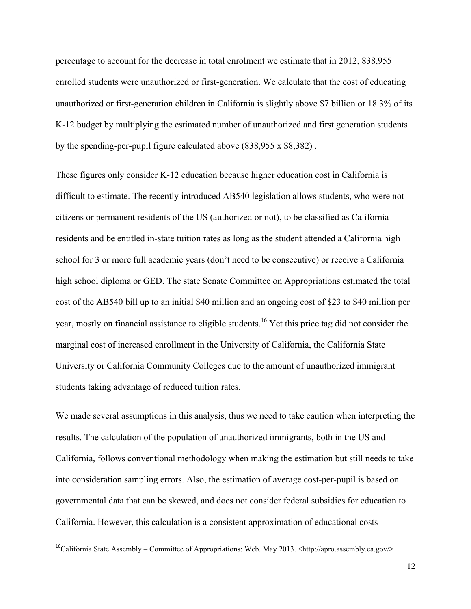percentage to account for the decrease in total enrolment we estimate that in 2012, 838,955 enrolled students were unauthorized or first-generation. We calculate that the cost of educating unauthorized or first-generation children in California is slightly above \$7 billion or 18.3% of its K-12 budget by multiplying the estimated number of unauthorized and first generation students by the spending-per-pupil figure calculated above (838,955 x \$8,382) .

These figures only consider K-12 education because higher education cost in California is difficult to estimate. The recently introduced AB540 legislation allows students, who were not citizens or permanent residents of the US (authorized or not), to be classified as California residents and be entitled in-state tuition rates as long as the student attended a California high school for 3 or more full academic years (don't need to be consecutive) or receive a California high school diploma or GED. The state Senate Committee on Appropriations estimated the total cost of the AB540 bill up to an initial \$40 million and an ongoing cost of \$23 to \$40 million per year, mostly on financial assistance to eligible students.<sup>16</sup> Yet this price tag did not consider the marginal cost of increased enrollment in the University of California, the California State University or California Community Colleges due to the amount of unauthorized immigrant students taking advantage of reduced tuition rates.

We made several assumptions in this analysis, thus we need to take caution when interpreting the results. The calculation of the population of unauthorized immigrants, both in the US and California, follows conventional methodology when making the estimation but still needs to take into consideration sampling errors. Also, the estimation of average cost-per-pupil is based on governmental data that can be skewed, and does not consider federal subsidies for education to California. However, this calculation is a consistent approximation of educational costs

<u> 1989 - Johann Stein, fransk politiker (d. 1989)</u>

<sup>&</sup>lt;sup>16</sup>California State Assembly – Committee of Appropriations: Web. May 2013. <http://apro.assembly.ca.gov/>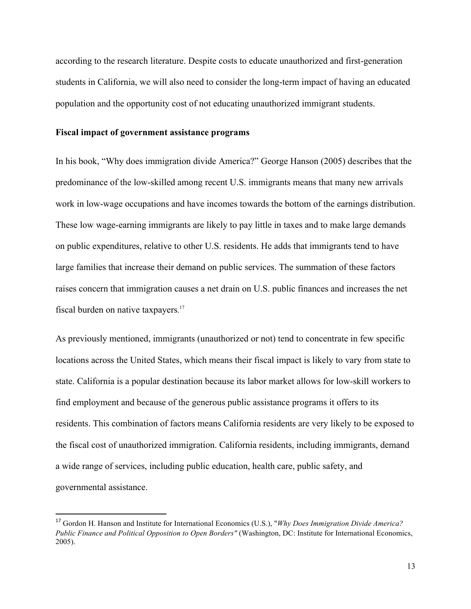according to the research literature. Despite costs to educate unauthorized and first-generation students in California, we will also need to consider the long-term impact of having an educated population and the opportunity cost of not educating unauthorized immigrant students.

#### **Fiscal impact of government assistance programs**

<u> 1989 - Johann Stein, fransk politiker (d. 1989)</u>

In his book, "Why does immigration divide America?" George Hanson (2005) describes that the predominance of the low-skilled among recent U.S. immigrants means that many new arrivals work in low-wage occupations and have incomes towards the bottom of the earnings distribution. These low wage-earning immigrants are likely to pay little in taxes and to make large demands on public expenditures, relative to other U.S. residents. He adds that immigrants tend to have large families that increase their demand on public services. The summation of these factors raises concern that immigration causes a net drain on U.S. public finances and increases the net fiscal burden on native taxpayers.<sup>17</sup>

As previously mentioned, immigrants (unauthorized or not) tend to concentrate in few specific locations across the United States, which means their fiscal impact is likely to vary from state to state. California is a popular destination because its labor market allows for low-skill workers to find employment and because of the generous public assistance programs it offers to its residents. This combination of factors means California residents are very likely to be exposed to the fiscal cost of unauthorized immigration. California residents, including immigrants, demand a wide range of services, including public education, health care, public safety, and governmental assistance.

<sup>17</sup> Gordon H. Hanson and Institute for International Economics (U.S.), "*Why Does Immigration Divide America? Public Finance and Political Opposition to Open Borders"* (Washington, DC: Institute for International Economics, 2005).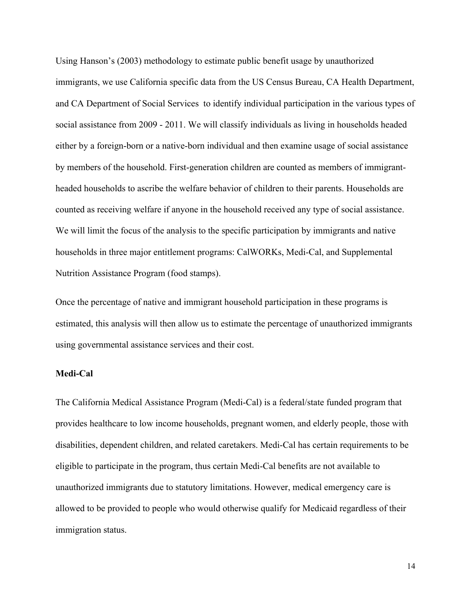Using Hanson's (2003) methodology to estimate public benefit usage by unauthorized immigrants, we use California specific data from the US Census Bureau, CA Health Department, and CA Department of Social Services to identify individual participation in the various types of social assistance from 2009 - 2011. We will classify individuals as living in households headed either by a foreign-born or a native-born individual and then examine usage of social assistance by members of the household. First-generation children are counted as members of immigrantheaded households to ascribe the welfare behavior of children to their parents. Households are counted as receiving welfare if anyone in the household received any type of social assistance. We will limit the focus of the analysis to the specific participation by immigrants and native households in three major entitlement programs: CalWORKs, Medi-Cal, and Supplemental Nutrition Assistance Program (food stamps).

Once the percentage of native and immigrant household participation in these programs is estimated, this analysis will then allow us to estimate the percentage of unauthorized immigrants using governmental assistance services and their cost.

#### **Medi-Cal**

The California Medical Assistance Program (Medi-Cal) is a federal/state funded program that provides healthcare to low income households, pregnant women, and elderly people, those with disabilities, dependent children, and related caretakers. Medi-Cal has certain requirements to be eligible to participate in the program, thus certain Medi-Cal benefits are not available to unauthorized immigrants due to statutory limitations. However, medical emergency care is allowed to be provided to people who would otherwise qualify for Medicaid regardless of their immigration status.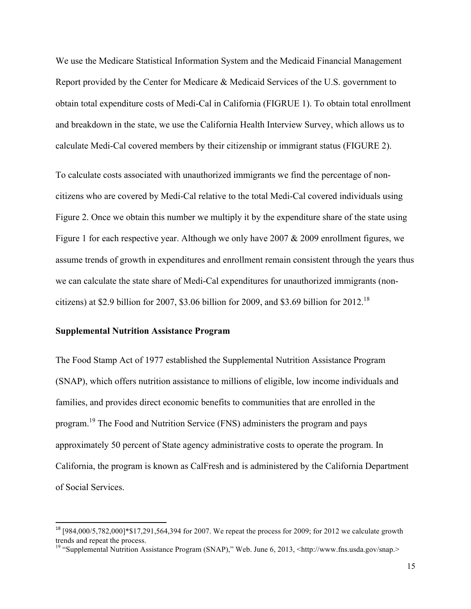We use the Medicare Statistical Information System and the Medicaid Financial Management Report provided by the Center for Medicare & Medicaid Services of the U.S. government to obtain total expenditure costs of Medi-Cal in California (FIGRUE 1). To obtain total enrollment and breakdown in the state, we use the California Health Interview Survey, which allows us to calculate Medi-Cal covered members by their citizenship or immigrant status (FIGURE 2).

To calculate costs associated with unauthorized immigrants we find the percentage of noncitizens who are covered by Medi-Cal relative to the total Medi-Cal covered individuals using Figure 2. Once we obtain this number we multiply it by the expenditure share of the state using Figure 1 for each respective year. Although we only have 2007 & 2009 enrollment figures, we assume trends of growth in expenditures and enrollment remain consistent through the years thus we can calculate the state share of Medi-Cal expenditures for unauthorized immigrants (noncitizens) at \$2.9 billion for 2007, \$3.06 billion for 2009, and \$3.69 billion for  $2012$ .<sup>18</sup>

#### **Supplemental Nutrition Assistance Program**

<u> 1989 - Johann Stein, fransk politiker (d. 1989)</u>

The Food Stamp Act of 1977 established the Supplemental Nutrition Assistance Program (SNAP), which offers nutrition assistance to millions of eligible, low income individuals and families, and provides direct economic benefits to communities that are enrolled in the program.<sup>19</sup> The Food and Nutrition Service (FNS) administers the program and pays approximately 50 percent of State agency administrative costs to operate the program. In California, the program is known as CalFresh and is administered by the California Department of Social Services.

<sup>&</sup>lt;sup>18</sup> [984,000/5,782,000]\*\$17,291,564,394 for 2007. We repeat the process for 2009; for 2012 we calculate growth trends and repeat the process.

<sup>&</sup>lt;sup>19</sup> "Supplemental Nutrition Assistance Program (SNAP)," Web. June 6, 2013, <http://www.fns.usda.gov/snap.>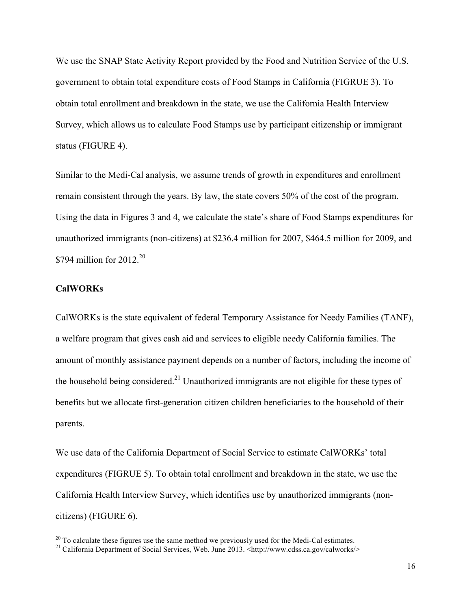We use the SNAP State Activity Report provided by the Food and Nutrition Service of the U.S. government to obtain total expenditure costs of Food Stamps in California (FIGRUE 3). To obtain total enrollment and breakdown in the state, we use the California Health Interview Survey, which allows us to calculate Food Stamps use by participant citizenship or immigrant status (FIGURE 4).

Similar to the Medi-Cal analysis, we assume trends of growth in expenditures and enrollment remain consistent through the years. By law, the state covers 50% of the cost of the program. Using the data in Figures 3 and 4, we calculate the state's share of Food Stamps expenditures for unauthorized immigrants (non-citizens) at \$236.4 million for 2007, \$464.5 million for 2009, and \$794 million for  $2012.^{20}$ 

#### **CalWORKs**

<u> 1989 - Johann Stein, fransk politiker (d. 1989)</u>

CalWORKs is the state equivalent of federal Temporary Assistance for Needy Families (TANF), a welfare program that gives cash aid and services to eligible needy California families. The amount of monthly assistance payment depends on a number of factors, including the income of the household being considered.<sup>21</sup> Unauthorized immigrants are not eligible for these types of benefits but we allocate first-generation citizen children beneficiaries to the household of their parents.

We use data of the California Department of Social Service to estimate CalWORKs' total expenditures (FIGRUE 5). To obtain total enrollment and breakdown in the state, we use the California Health Interview Survey, which identifies use by unauthorized immigrants (noncitizens) (FIGURE 6).

<sup>&</sup>lt;sup>20</sup> To calculate these figures use the same method we previously used for the Medi-Cal estimates.<br><sup>21</sup> California Department of Social Services, Web. June 2013. <http://www.cdss.ca.gov/calworks/>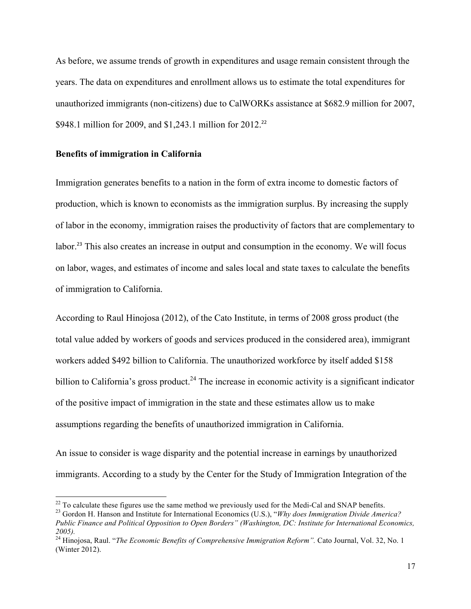As before, we assume trends of growth in expenditures and usage remain consistent through the years. The data on expenditures and enrollment allows us to estimate the total expenditures for unauthorized immigrants (non-citizens) due to CalWORKs assistance at \$682.9 million for 2007, \$948.1 million for 2009, and \$1,243.1 million for 2012.<sup>22</sup>

#### **Benefits of immigration in California**

Immigration generates benefits to a nation in the form of extra income to domestic factors of production, which is known to economists as the immigration surplus. By increasing the supply of labor in the economy, immigration raises the productivity of factors that are complementary to labor.<sup>23</sup> This also creates an increase in output and consumption in the economy. We will focus on labor, wages, and estimates of income and sales local and state taxes to calculate the benefits of immigration to California.

According to Raul Hinojosa (2012), of the Cato Institute, in terms of 2008 gross product (the total value added by workers of goods and services produced in the considered area), immigrant workers added \$492 billion to California. The unauthorized workforce by itself added \$158 billion to California's gross product.<sup>24</sup> The increase in economic activity is a significant indicator of the positive impact of immigration in the state and these estimates allow us to make assumptions regarding the benefits of unauthorized immigration in California.

An issue to consider is wage disparity and the potential increase in earnings by unauthorized immigrants. According to a study by the Center for the Study of Immigration Integration of the

 $^{22}$  To calculate these figures use the same method we previously used for the Medi-Cal and SNAP benefits.

<sup>&</sup>lt;sup>23</sup> Gordon H. Hanson and Institute for International Economics (U.S.), "*Why does Immigration Divide America? Public Finance and Political Opposition to Open Borders" (Washington, DC: Institute for International Economics, 2005).*

<sup>24</sup> Hinojosa, Raul. "*The Economic Benefits of Comprehensive Immigration Reform".* Cato Journal, Vol. 32, No. 1 (Winter 2012).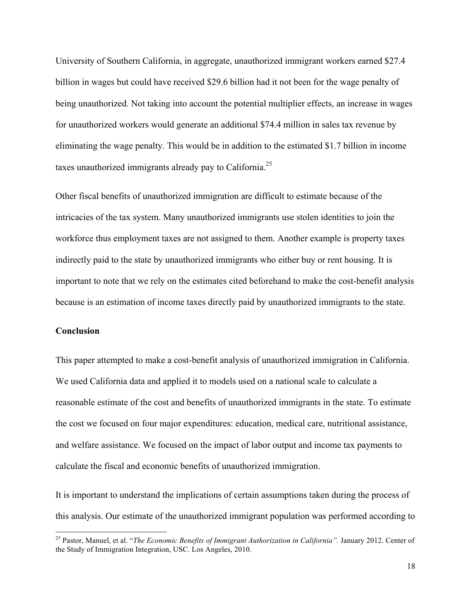University of Southern California, in aggregate, unauthorized immigrant workers earned \$27.4 billion in wages but could have received \$29.6 billion had it not been for the wage penalty of being unauthorized. Not taking into account the potential multiplier effects, an increase in wages for unauthorized workers would generate an additional \$74.4 million in sales tax revenue by eliminating the wage penalty. This would be in addition to the estimated \$1.7 billion in income taxes unauthorized immigrants already pay to California.<sup>25</sup>

Other fiscal benefits of unauthorized immigration are difficult to estimate because of the intricacies of the tax system. Many unauthorized immigrants use stolen identities to join the workforce thus employment taxes are not assigned to them. Another example is property taxes indirectly paid to the state by unauthorized immigrants who either buy or rent housing. It is important to note that we rely on the estimates cited beforehand to make the cost-benefit analysis because is an estimation of income taxes directly paid by unauthorized immigrants to the state.

#### **Conclusion**

<u> 1989 - Johann Stein, fransk politiker (d. 1989)</u>

This paper attempted to make a cost-benefit analysis of unauthorized immigration in California. We used California data and applied it to models used on a national scale to calculate a reasonable estimate of the cost and benefits of unauthorized immigrants in the state. To estimate the cost we focused on four major expenditures: education, medical care, nutritional assistance, and welfare assistance. We focused on the impact of labor output and income tax payments to calculate the fiscal and economic benefits of unauthorized immigration.

It is important to understand the implications of certain assumptions taken during the process of this analysis. Our estimate of the unauthorized immigrant population was performed according to

<sup>&</sup>lt;sup>25</sup> Pastor, Manuel, et al. "*The Economic Benefits of Immigrant Authorization in California"*. January 2012. Center of the Study of Immigration Integration, USC. Los Angeles, 2010.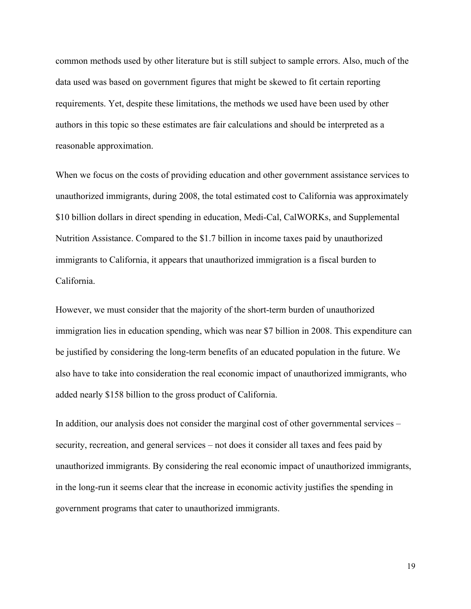common methods used by other literature but is still subject to sample errors. Also, much of the data used was based on government figures that might be skewed to fit certain reporting requirements. Yet, despite these limitations, the methods we used have been used by other authors in this topic so these estimates are fair calculations and should be interpreted as a reasonable approximation.

When we focus on the costs of providing education and other government assistance services to unauthorized immigrants, during 2008, the total estimated cost to California was approximately \$10 billion dollars in direct spending in education, Medi-Cal, CalWORKs, and Supplemental Nutrition Assistance. Compared to the \$1.7 billion in income taxes paid by unauthorized immigrants to California, it appears that unauthorized immigration is a fiscal burden to California.

However, we must consider that the majority of the short-term burden of unauthorized immigration lies in education spending, which was near \$7 billion in 2008. This expenditure can be justified by considering the long-term benefits of an educated population in the future. We also have to take into consideration the real economic impact of unauthorized immigrants, who added nearly \$158 billion to the gross product of California.

In addition, our analysis does not consider the marginal cost of other governmental services – security, recreation, and general services – not does it consider all taxes and fees paid by unauthorized immigrants. By considering the real economic impact of unauthorized immigrants, in the long-run it seems clear that the increase in economic activity justifies the spending in government programs that cater to unauthorized immigrants.

19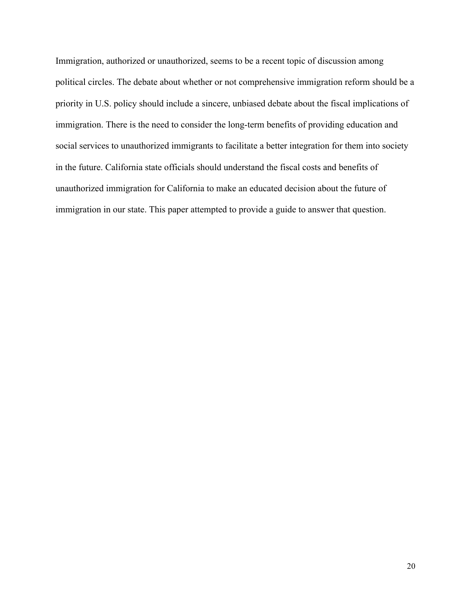Immigration, authorized or unauthorized, seems to be a recent topic of discussion among political circles. The debate about whether or not comprehensive immigration reform should be a priority in U.S. policy should include a sincere, unbiased debate about the fiscal implications of immigration. There is the need to consider the long-term benefits of providing education and social services to unauthorized immigrants to facilitate a better integration for them into society in the future. California state officials should understand the fiscal costs and benefits of unauthorized immigration for California to make an educated decision about the future of immigration in our state. This paper attempted to provide a guide to answer that question.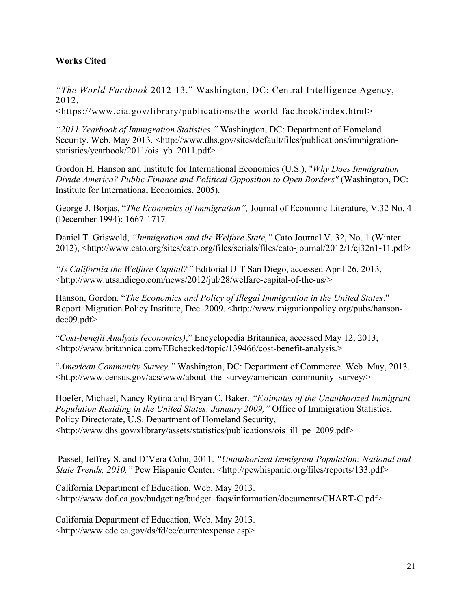#### **Works Cited**

*"The World Factbook* 2012-13." Washington, DC: Central Intelligence Agency, 2012.

<https://www.cia.gov/library/publications/the-world-factbook/index.html>

*"2011 Yearbook of Immigration Statistics."* Washington, DC: Department of Homeland Security. Web. May 2013. <http://www.dhs.gov/sites/default/files/publications/immigrationstatistics/yearbook/2011/ois\_yb\_2011.pdf>

Gordon H. Hanson and Institute for International Economics (U.S.), "*Why Does Immigration Divide America? Public Finance and Political Opposition to Open Borders"* (Washington, DC: Institute for International Economics, 2005).

George J. Borjas, "*The Economics of Immigration",* Journal of Economic Literature, V.32 No. 4 (December 1994): 1667-1717

Daniel T. Griswold, *"Immigration and the Welfare State,"* Cato Journal V. 32, No. 1 (Winter 2012), <http://www.cato.org/sites/cato.org/files/serials/files/cato-journal/2012/1/cj32n1-11.pdf>

*"Is California the Welfare Capital?"* Editorial U-T San Diego, accessed April 26, 2013, <http://www.utsandiego.com/news/2012/jul/28/welfare-capital-of-the-us/>

Hanson, Gordon. "*The Economics and Policy of Illegal Immigration in the United States*." Report. Migration Policy Institute, Dec. 2009. <http://www.migrationpolicy.org/pubs/hansondec09.pdf>

"*Cost-benefit Analysis (economics)*," Encyclopedia Britannica, accessed May 12, 2013, <http://www.britannica.com/EBchecked/topic/139466/cost-benefit-analysis.>

"*American Community Survey."* Washington, DC: Department of Commerce. Web. May, 2013.  $\lt$ http://www.census.gov/acs/www/about\_the\_survey/american\_community\_survey/>

Hoefer, Michael, Nancy Rytina and Bryan C. Baker. *"Estimates of the Unauthorized Immigrant Population Residing in the United States: January 2009,"* Office of Immigration Statistics, Policy Directorate, U.S. Department of Homeland Security, <http://www.dhs.gov/xlibrary/assets/statistics/publications/ois\_ill\_pe\_2009.pdf>

Passel, Jeffrey S. and D'Vera Cohn, 2011. *"Unauthorized Immigrant Population: National and State Trends, 2010,"* Pew Hispanic Center, <http://pewhispanic.org/files/reports/133.pdf>

California Department of Education, Web. May 2013. <http://www.dof.ca.gov/budgeting/budget\_faqs/information/documents/CHART-C.pdf>

California Department of Education, Web. May 2013. <http://www.cde.ca.gov/ds/fd/ec/currentexpense.asp>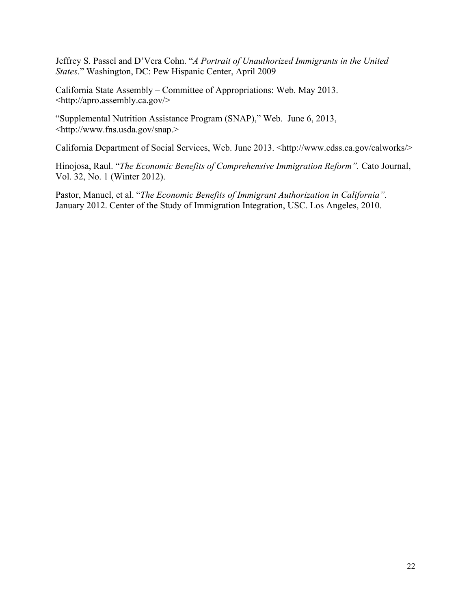Jeffrey S. Passel and D'Vera Cohn. "*A Portrait of Unauthorized Immigrants in the United States*." Washington, DC: Pew Hispanic Center, April 2009

California State Assembly – Committee of Appropriations: Web. May 2013. <http://apro.assembly.ca.gov/>

"Supplemental Nutrition Assistance Program (SNAP)," Web. June 6, 2013, <http://www.fns.usda.gov/snap.>

California Department of Social Services, Web. June 2013. <http://www.cdss.ca.gov/calworks/>

Hinojosa, Raul. "*The Economic Benefits of Comprehensive Immigration Reform".* Cato Journal, Vol. 32, No. 1 (Winter 2012).

Pastor, Manuel, et al. "*The Economic Benefits of Immigrant Authorization in California".*  January 2012. Center of the Study of Immigration Integration, USC. Los Angeles, 2010.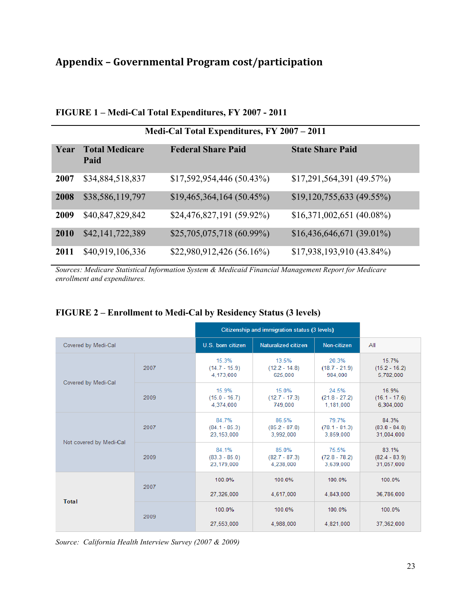# **Appendix – Governmental Program cost/participation**

| Medi-Cal Total Expenditures, FY 2007 - 2011 |                               |                            |                            |  |  |  |
|---------------------------------------------|-------------------------------|----------------------------|----------------------------|--|--|--|
| Year                                        | <b>Total Medicare</b><br>Paid | <b>Federal Share Paid</b>  | <b>State Share Paid</b>    |  |  |  |
| 2007                                        | \$34,884,518,837              | \$17,592,954,446(50.43%)   | $$17,291,564,391$ (49.57%) |  |  |  |
| 2008                                        | \$38,586,119,797              | \$19,465,364,164 (50.45%)  | $$19,120,755,633$ (49.55%) |  |  |  |
| 2009                                        | \$40,847,829,842              | $$24,476,827,191(59.92\%)$ | $$16,371,002,651$ (40.08%) |  |  |  |
| 2010                                        | \$42,141,722,389              | \$25,705,075,718(60.99%)   | $$16,436,646,671(39.01\%)$ |  |  |  |
| 2011                                        | \$40,919,106,336              | \$22,980,912,426(56.16%)   | \$17,938,193,910 (43.84%)  |  |  |  |

#### **FIGURE 1 – Medi-Cal Total Expenditures, FY 2007 - 2011**

*Sources: Medicare Statistical Information System & Medicaid Financial Management Report for Medicare enrollment and expenditures.*

|                         |      | Citizenship and immigration status (3 levels) |                                       |                                       |                                        |
|-------------------------|------|-----------------------------------------------|---------------------------------------|---------------------------------------|----------------------------------------|
| Covered by Medi-Cal     |      | U.S. born citizen                             | Naturalized citizen                   | Non-citizen                           | All                                    |
| Covered by Medi-Cal     | 2007 | 15.3%<br>$(14.7 - 15.9)$<br>4.173.000         | 13.5%<br>$(12.2 - 14.8)$<br>625.000   | 20.3%<br>$(18.7 - 21.9)$<br>984.000   | 15.7%<br>$(15.2 - 16.2)$<br>5.782.000  |
|                         | 2009 | 15.9%<br>$(15.0 - 16.7)$<br>4.374.000         | 15.0%<br>$(12.7 - 17.3)$<br>749.000   | 24.5%<br>$(21.8 - 27.2)$<br>1.181.000 | 16.9%<br>$(16.1 - 17.6)$<br>6.304.000  |
| Not covered by Medi-Cal | 2007 | 84.7%<br>$(84.1 - 85.3)$<br>23.153.000        | 86.5%<br>$(85.2 - 87.8)$<br>3.992.000 | 79.7%<br>$(78.1 - 81.3)$<br>3.859.000 | 84.3%<br>$(83.8 - 84.8)$<br>31.004.000 |
|                         | 2009 | 84.1%<br>$(83.3 - 85.0)$<br>23,179,000        | 85.0%<br>$(82.7 - 87.3)$<br>4,238,000 | 75.5%<br>$(72.8 - 78.2)$<br>3,639,000 | 83.1%<br>$(82.4 - 83.9)$<br>31,057,000 |
| Total                   | 2007 | 100.0%<br>27,326,000                          | 100.0%<br>4,617,000                   | 100.0%<br>4,843,000                   | 100.0%<br>36,786,000                   |
|                         | 2009 | 100.0%<br>27,553,000                          | 100.0%<br>4.988.000                   | 100.0%<br>4.821.000                   | 100.0%<br>37.362.000                   |

#### **FIGURE 2 – Enrollment to Medi-Cal by Residency Status (3 levels)**

*Source: California Health Interview Survey (2007 & 2009)*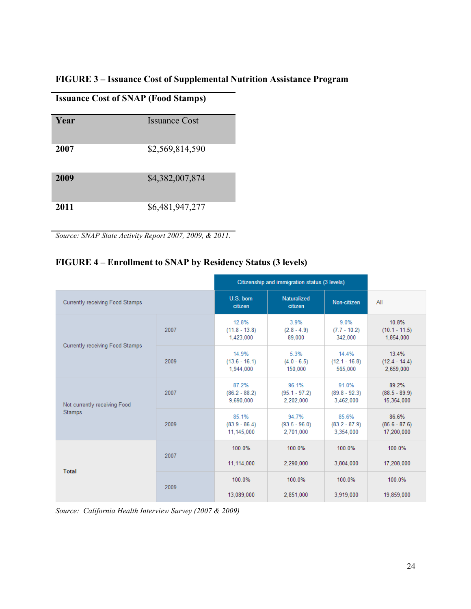### **FIGURE 3 – Issuance Cost of Supplemental Nutrition Assistance Program**

**Issuance Cost of SNAP (Food Stamps)**

| Year | <b>Issuance Cost</b> |
|------|----------------------|
| 2007 | \$2,569,814,590      |
| 2009 | \$4,382,007,874      |
| 2011 | \$6,481,947,277      |

*Source: SNAP State Activity Report 2007, 2009, & 2011.*

#### **FIGURE 4 – Enrollment to SNAP by Residency Status (3 levels)**

|                                               |      | Citizenship and immigration status (3 levels) |                                       |                                       |                                        |
|-----------------------------------------------|------|-----------------------------------------------|---------------------------------------|---------------------------------------|----------------------------------------|
| Currently receiving Food Stamps               |      | U.S. born<br>citizen                          | Naturalized<br>citizen                | Non-citizen                           | All                                    |
| Currently receiving Food Stamps               | 2007 | 12.8%<br>$(11.8 - 13.8)$<br>1,423,000         | 3.9%<br>$(2.8 - 4.9)$<br>89,000       | 9.0%<br>$(7.7 - 10.2)$<br>342.000     | 10.8%<br>$(10.1 - 11.5)$<br>1,854,000  |
|                                               | 2009 | 14.9%<br>$(13.6 - 16.1)$<br>1,944,000         | 5.3%<br>$(4.0 - 6.5)$<br>150,000      | 14.4%<br>$(12.1 - 16.8)$<br>565,000   | 13.4%<br>$(12.4 - 14.4)$<br>2.659.000  |
| Not currently receiving Food<br><b>Stamps</b> | 2007 | 87.2%<br>$(86.2 - 88.2)$<br>9.690.000         | 96.1%<br>$(95.1 - 97.2)$<br>2,202,000 | 91.0%<br>$(89.8 - 92.3)$<br>3.462,000 | 89.2%<br>$(88.5 - 89.9)$<br>15.354.000 |
|                                               | 2009 | 85.1%<br>$(83.9 - 86.4)$<br>11.145.000        | 94.7%<br>$(93.5 - 96.0)$<br>2.701.000 | 85.6%<br>$(83.2 - 87.9)$<br>3,354,000 | 86.6%<br>$(85.6 - 87.6)$<br>17,200,000 |
| <b>Total</b>                                  | 2007 | 100.0%<br>11.114.000                          | 100.0%<br>2,290,000                   | 100.0%<br>3.804.000                   | 100.0%<br>17,208,000                   |
|                                               | 2009 | 100.0%<br>13.089.000                          | 100.0%<br>2.851.000                   | 100.0%<br>3.919.000                   | 100.0%<br>19,859,000                   |

*Source: California Health Interview Survey (2007 & 2009)*